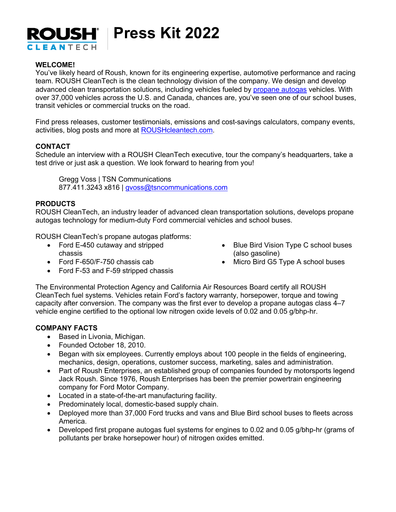

## **WELCOME!**

You've likely heard of Roush, known for its engineering expertise, automotive performance and racing team. ROUSH CleanTech is the clean technology division of the company. We design and develop advanced clean transportation solutions, including vehicles fueled by propane autogas vehicles. With over 37,000 vehicles across the U.S. and Canada, chances are, you've seen one of our school buses, transit vehicles or commercial trucks on the road.

Find press releases, customer testimonials, emissions and cost-savings calculators, company events, activities, blog posts and more at ROUSHcleantech.com.

### **CONTACT**

Schedule an interview with a ROUSH CleanTech executive, tour the company's headquarters, take a test drive or just ask a question. We look forward to hearing from you!

Gregg Voss | TSN Communications 877.411.3243 x816 | gvoss@tsncommunications.com

### **PRODUCTS**

ROUSH CleanTech, an industry leader of advanced clean transportation solutions, develops propane autogas technology for medium-duty Ford commercial vehicles and school buses.

ROUSH CleanTech's propane autogas platforms:

- Ford E-450 cutaway and stripped chassis
- Ford F-650/F-750 chassis cab
- Ford F-53 and F-59 stripped chassis
- Blue Bird Vision Type C school buses (also gasoline)
- Micro Bird G5 Type A school buses

The Environmental Protection Agency and California Air Resources Board certify all ROUSH CleanTech fuel systems. Vehicles retain Ford's factory warranty, horsepower, torque and towing capacity after conversion. The company was the first ever to develop a propane autogas class 4–7 vehicle engine certified to the optional low nitrogen oxide levels of 0.02 and 0.05 g/bhp-hr.

#### **COMPANY FACTS**

- Based in Livonia, Michigan.
- Founded October 18, 2010.
- Began with six employees. Currently employs about 100 people in the fields of engineering, mechanics, design, operations, customer success, marketing, sales and administration.
- Part of Roush Enterprises, an established group of companies founded by motorsports legend Jack Roush. Since 1976, Roush Enterprises has been the premier powertrain engineering company for Ford Motor Company.
- Located in a state-of-the-art manufacturing facility.
- Predominately local, domestic-based supply chain.
- Deployed more than 37,000 Ford trucks and vans and Blue Bird school buses to fleets across America.
- Developed first propane autogas fuel systems for engines to 0.02 and 0.05 g/bhp-hr (grams of pollutants per brake horsepower hour) of nitrogen oxides emitted.